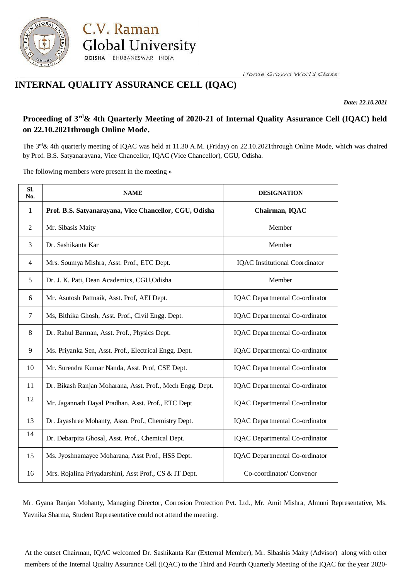

**INTERNAL QUALITY ASSURANCE CELL (IQAC)**

ODISHA BHUBANESWAR INDIA

**Global University** 

C.V. Raman

Home Grown World Class

*Date: 22.10.2021*

# Proceeding of 3<sup>rd</sup>& 4th Quarterly Meeting of 2020-21 of Internal Quality Assurance Cell (IQAC) held **on 22.10.2021through Online Mode.**

The 3<sup>rd</sup> & 4th quarterly meeting of IQAC was held at 11.30 A.M. (Friday) on 22.10.2021through Online Mode, which was chaired by Prof. B.S. Satyanarayana, Vice Chancellor, IQAC (Vice Chancellor), CGU, Odisha.

The following members were present in the meeting »

| SI.<br>No. | <b>NAME</b>                                               | <b>DESIGNATION</b>                    |
|------------|-----------------------------------------------------------|---------------------------------------|
| 1          | Prof. B.S. Satyanarayana, Vice Chancellor, CGU, Odisha    | Chairman, IQAC                        |
| 2          | Mr. Sibasis Maity                                         | Member                                |
| 3          | Dr. Sashikanta Kar                                        | Member                                |
| 4          | Mrs. Soumya Mishra, Asst. Prof., ETC Dept.                | <b>IQAC</b> Institutional Coordinator |
| 5          | Dr. J. K. Pati, Dean Academics, CGU, Odisha               | Member                                |
| 6          | Mr. Asutosh Pattnaik, Asst. Prof, AEI Dept.               | <b>IQAC</b> Departmental Co-ordinator |
| $\tau$     | Ms, Bithika Ghosh, Asst. Prof., Civil Engg. Dept.         | <b>IQAC</b> Departmental Co-ordinator |
| 8          | Dr. Rahul Barman, Asst. Prof., Physics Dept.              | IQAC Departmental Co-ordinator        |
| 9          | Ms. Priyanka Sen, Asst. Prof., Electrical Engg. Dept.     | IQAC Departmental Co-ordinator        |
| 10         | Mr. Surendra Kumar Nanda, Asst. Prof, CSE Dept.           | IQAC Departmental Co-ordinator        |
| 11         | Dr. Bikash Ranjan Moharana, Asst. Prof., Mech Engg. Dept. | IQAC Departmental Co-ordinator        |
| 12         | Mr. Jagannath Dayal Pradhan, Asst. Prof., ETC Dept        | IQAC Departmental Co-ordinator        |
| 13         | Dr. Jayashree Mohanty, Asso. Prof., Chemistry Dept.       | IQAC Departmental Co-ordinator        |
| 14         | Dr. Debarpita Ghosal, Asst. Prof., Chemical Dept.         | IQAC Departmental Co-ordinator        |
| 15         | Ms. Jyoshnamayee Moharana, Asst Prof., HSS Dept.          | IQAC Departmental Co-ordinator        |
| 16         | Mrs. Rojalina Priyadarshini, Asst Prof., CS & IT Dept.    | Co-coordinator/ Convenor              |

Mr. Gyana Ranjan Mohanty, Managing Director, Corrosion Protection Pvt. Ltd., Mr. Amit Mishra, Almuni Representative, Ms. Yavnika Sharma, Student Representative could not attend the meeting.

At the outset Chairman, IQAC welcomed Dr. Sashikanta Kar (External Member), Mr. Sibashis Maity (Advisor) along with other members of the Internal Quality Assurance Cell (IQAC) to the Third and Fourth Quarterly Meeting of the IQAC for the year 2020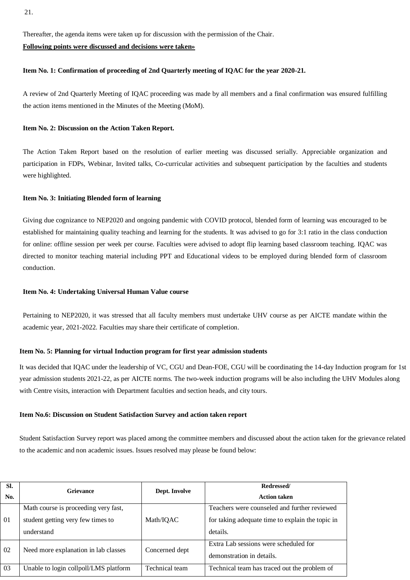Thereafter, the agenda items were taken up for discussion with the permission of the Chair.

## **Following points were discussed and decisions were taken»**

# **Item No. 1: Confirmation of proceeding of 2nd Quarterly meeting of IQAC for the year 2020-21.**

A review of 2nd Quarterly Meeting of IQAC proceeding was made by all members and a final confirmation was ensured fulfilling the action items mentioned in the Minutes of the Meeting (MoM).

## **Item No. 2: Discussion on the Action Taken Report.**

The Action Taken Report based on the resolution of earlier meeting was discussed serially. Appreciable organization and participation in FDPs, Webinar, Invited talks, Co-curricular activities and subsequent participation by the faculties and students were highlighted.

## **Item No. 3: Initiating Blended form of learning**

Giving due cognizance to NEP2020 and ongoing pandemic with COVID protocol, blended form of learning was encouraged to be established for maintaining quality teaching and learning for the students. It was advised to go for 3:1 ratio in the class conduction for online: offline session per week per course. Faculties were advised to adopt flip learning based classroom teaching. IQAC was directed to monitor teaching material including PPT and Educational videos to be employed during blended form of classroom conduction.

# **Item No. 4: Undertaking Universal Human Value course**

Pertaining to NEP2020, it was stressed that all faculty members must undertake UHV course as per AICTE mandate within the academic year, 2021-2022. Faculties may share their certificate of completion.

#### **Item No. 5: Planning for virtual Induction program for first year admission students**

It was decided that IQAC under the leadership of VC, CGU and Dean-FOE, CGU will be coordinating the 14-day Induction program for 1st year admission students 2021-22, as per AICTE norms. The two-week induction programs will be also including the UHV Modules along with Centre visits, interaction with Department faculties and section heads, and city tours.

#### **Item No.6: Discussion on Student Satisfaction Survey and action taken report**

Student Satisfaction Survey report was placed among the committee members and discussed about the action taken for the grievance related to the academic and non academic issues. Issues resolved may please be found below:

| SI.<br>No. | <b>Grievance</b>                                                                        | Dept. Involve  | Redressed/<br><b>Action taken</b>                                                                            |  |
|------------|-----------------------------------------------------------------------------------------|----------------|--------------------------------------------------------------------------------------------------------------|--|
| 01         | Math course is proceeding very fast,<br>student getting very few times to<br>understand | Math/IQAC      | Teachers were counseled and further reviewed<br>for taking adequate time to explain the topic in<br>details. |  |
| 02         | Need more explanation in lab classes                                                    | Concerned dept | Extra Lab sessions were scheduled for<br>demonstration in details.                                           |  |
| 03         | Unable to login collpoll/LMS platform                                                   | Technical team | Technical team has traced out the problem of                                                                 |  |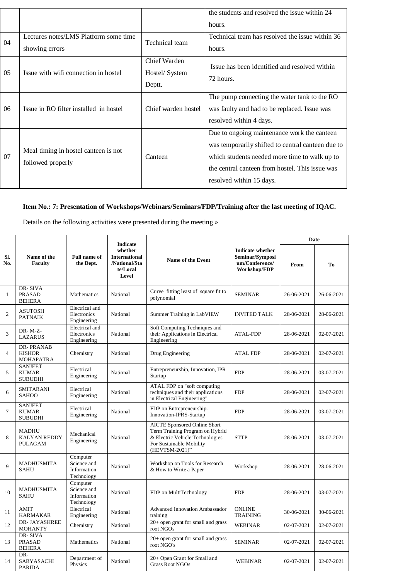|    |                                                           |                                          | the students and resolved the issue within 24<br>hours.                                                                                                                                                                          |
|----|-----------------------------------------------------------|------------------------------------------|----------------------------------------------------------------------------------------------------------------------------------------------------------------------------------------------------------------------------------|
| 04 | Lectures notes/LMS Platform some time<br>showing errors   | Technical team                           | Technical team has resolved the issue within 36<br>hours.                                                                                                                                                                        |
| 05 | Issue with wifi connection in hostel                      | Chief Warden<br>Hostel/ System<br>Deptt. | Issue has been identified and resolved within<br>72 hours.                                                                                                                                                                       |
| 06 | Issue in RO filter installed in hostel                    | Chief warden hostel                      | The pump connecting the water tank to the RO<br>was faulty and had to be replaced. Issue was<br>resolved within 4 days.                                                                                                          |
| 07 | Meal timing in hostel canteen is not<br>followed properly | Canteen                                  | Due to ongoing maintenance work the canteen<br>was temporarily shifted to central canteen due to<br>which students needed more time to walk up to<br>the central canteen from hostel. This issue was<br>resolved within 15 days. |

# **Item No.: 7: Presentation of Workshops/Webinars/Seminars/FDP/Training after the last meeting of IQAC.**

Details on the following activities were presented during the meeting »

|                | Name of the<br><b>Faculty</b>                    | <b>Full name of</b><br>the Dept.                     | <b>Indicate</b><br>whether<br><b>International</b><br><b>Name of the Event</b><br>/National/Sta<br>te/Local<br>Level |                                                                                                                                                         |                                                                              | Date       |                |
|----------------|--------------------------------------------------|------------------------------------------------------|----------------------------------------------------------------------------------------------------------------------|---------------------------------------------------------------------------------------------------------------------------------------------------------|------------------------------------------------------------------------------|------------|----------------|
| SI.<br>No.     |                                                  |                                                      |                                                                                                                      |                                                                                                                                                         | <b>Indicate whether</b><br>Seminar/Symposi<br>um/Conference/<br>Workshop/FDP | From       | T <sub>0</sub> |
| 1              | DR-SIVA<br><b>PRASAD</b><br><b>BEHERA</b>        | Mathematics                                          | National                                                                                                             | Curve fitting least of square fit to<br>polynomial                                                                                                      | <b>SEMINAR</b>                                                               | 26-06-2021 | 26-06-2021     |
| $\overline{2}$ | <b>ASUTOSH</b><br><b>PATNAIK</b>                 | Electrical and<br>Electronics<br>Engineering         | National                                                                                                             | Summer Training in LabVIEW                                                                                                                              | <b>INVITED TALK</b>                                                          | 28-06-2021 | 28-06-2021     |
| 3              | $DR- M-Z-$<br><b>LAZARUS</b>                     | Electrical and<br>Electronics<br>Engineering         | National                                                                                                             | Soft Computing Techniques and<br>their Applications in Electrical<br>Engineering                                                                        | <b>ATAL-FDP</b>                                                              | 28-06-2021 | 02-07-2021     |
| $\overline{4}$ | DR-PRANAB<br><b>KISHOR</b><br>MOHAPATRA          | Chemistry                                            | National                                                                                                             | Drug Engineering                                                                                                                                        | <b>ATAL FDP</b>                                                              | 28-06-2021 | 02-07-2021     |
| 5              | <b>SANJEET</b><br><b>KUMAR</b><br><b>SUBUDHI</b> | Electrical<br>Engineering                            | National                                                                                                             | Entrepreneurship, Innovation, IPR<br>Startup                                                                                                            | <b>FDP</b>                                                                   | 28-06-2021 | 03-07-2021     |
| 6              | <b>SMITARANI</b><br>SAHOO                        | Electrical<br>Engineering                            | National                                                                                                             | ATAL FDP on "soft computing<br>techniques and their applications<br>in Electrical Engineering"                                                          | <b>FDP</b>                                                                   | 28-06-2021 | 02-07-2021     |
| $\overline{7}$ | <b>SANJEET</b><br><b>KUMAR</b><br><b>SUBUDHI</b> | Electrical<br>Engineering                            | National                                                                                                             | FDP on Entrepreneurship-<br>Innovation-IPRS-Startup                                                                                                     | <b>FDP</b>                                                                   | 28-06-2021 | 03-07-2021     |
| 8              | MADHU<br><b>KALYAN REDDY</b><br>PULAGAM          | Mechanical<br>Engineering                            | National                                                                                                             | <b>AICTE Sponsored Online Short</b><br>Term Training Program on Hybrid<br>& Electric Vehicle Technologies<br>For Sustainable Mobility<br>(HEVTSM-2021)" | <b>STTP</b>                                                                  | 28-06-2021 | 03-07-2021     |
| 9              | <b>MADHUSMITA</b><br><b>SAHU</b>                 | Computer<br>Science and<br>Information<br>Technology | National                                                                                                             | Workshop on Tools for Research<br>& How to Write a Paper                                                                                                | Workshop                                                                     | 28-06-2021 | 28-06-2021     |
| 10             | MADHUSMITA<br><b>SAHU</b>                        | Computer<br>Science and<br>Information<br>Technology | National                                                                                                             | FDP on MultiTechnology                                                                                                                                  | <b>FDP</b>                                                                   | 28-06-2021 | 03-07-2021     |
| 11             | <b>AMIT</b><br><b>KARMAKAR</b>                   | Electrical<br>Engineering                            | National                                                                                                             | <b>Advanced Innovation Ambassador</b><br>training                                                                                                       | <b>ONLINE</b><br><b>TRAINING</b>                                             | 30-06-2021 | 30-06-2021     |
| 12             | DR-JAYASHREE<br><b>MOHANTY</b>                   | Chemistry                                            | National                                                                                                             | 20+ open grant for small and grass<br>root NGOs                                                                                                         | <b>WEBINAR</b>                                                               | 02-07-2021 | 02-07-2021     |
| 13             | DR-SIVA<br><b>PRASAD</b><br><b>BEHERA</b>        | Mathematics                                          | National                                                                                                             | $20+$ open grant for small and grass<br>root NGO's                                                                                                      | <b>SEMINAR</b>                                                               | 02-07-2021 | 02-07-2021     |
| 14             | DR-<br>SABYASACHI<br><b>PARIDA</b>               | Department of<br>Physics                             | National                                                                                                             | 20+ Open Grant for Small and<br><b>Grass Root NGOs</b>                                                                                                  | <b>WEBINAR</b>                                                               | 02-07-2021 | 02-07-2021     |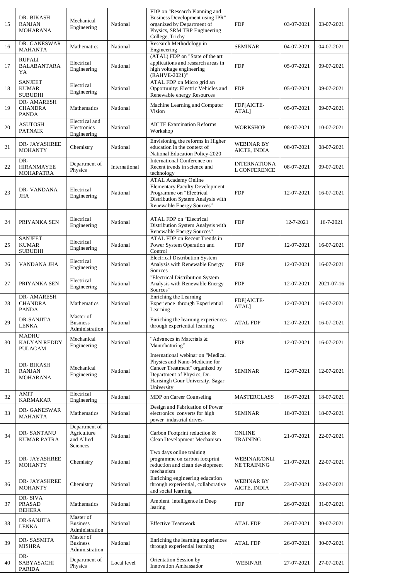| 15 | DR-BIKASH<br><b>RANJAN</b><br>MOHARANA           | Mechanical<br>Engineering                              | National      | FDP on "Research Planning and<br>Business Development using IPR"<br>organized by Department of<br>Physics, SRM TRP Engineering<br>College, Trichy                                    | <b>FDP</b>                                | 03-07-2021 | 03-07-2021 |
|----|--------------------------------------------------|--------------------------------------------------------|---------------|--------------------------------------------------------------------------------------------------------------------------------------------------------------------------------------|-------------------------------------------|------------|------------|
| 16 | DR-GANESWAR<br>MAHANTA                           | Mathematics                                            | National      | Research Methodology in<br>Engineering                                                                                                                                               | <b>SEMINAR</b>                            | 04-07-2021 | 04-07-2021 |
| 17 | <b>RUPALI</b><br><b>BALABANTARA</b><br>YA        | Electrical<br>Engineering                              | National      | (ATAL) FDP on "State of the art<br>applications and research areas in<br>high voltage engineering<br>(RAHVE-2021)"                                                                   | <b>FDP</b>                                | 05-07-2021 | 09-07-2021 |
| 18 | <b>SANJEET</b><br><b>KUMAR</b><br><b>SUBUDHI</b> | Electrical<br>Engineering                              | National      | ATAL FDP on Micro grid an<br>Opportunity: Electric Vehicles and<br>Renewable energy Resources                                                                                        | <b>FDP</b>                                | 05-07-2021 | 09-07-2021 |
| 19 | DR- AMARESH<br><b>CHANDRA</b><br><b>PANDA</b>    | Mathematics                                            | National      | Machine Learning and Computer<br>Vision                                                                                                                                              | FDP[AICTE-<br>ATAL]                       | 05-07-2021 | 09-07-2021 |
| 20 | <b>ASUTOSH</b><br><b>PATNAIK</b>                 | Electrical and<br>Electronics<br>Engineering           | National      | <b>AICTE Examination Reforms</b><br>Workshop                                                                                                                                         | <b>WORKSHOP</b>                           | 08-07-2021 | 10-07-2021 |
| 21 | DR-JAYASHREE<br><b>MOHANTY</b>                   | Chemistry                                              | National      | Envisioning the reforms in Higher<br>education in the context of<br>National Education Policy-2020                                                                                   | <b>WEBINAR BY</b><br>AICTE, INDIA         | 08-07-2021 | 08-07-2021 |
| 22 | DR-<br>HIRANMAYEE<br>MOHAPATRA                   | Department of<br>Physics                               | International | International Conference on<br>Recent trends in science and<br>technology                                                                                                            | <b>INTERNATIONA</b><br>L CONFERENCE       | 08-07-2021 | 09-07-2021 |
| 23 | DR- VANDANA<br>JHA                               | Electrical<br>Engineering                              | National      | <b>ATAL Academy Online</b><br><b>Elementary Faculty Development</b><br>Programme on "Electrical<br>Distribution System Analysis with<br>Renewable Energy Sources"                    | <b>FDP</b>                                | 12-07-2021 | 16-07-2021 |
| 24 | PRIYANKA SEN                                     | Electrical<br>Engineering                              | National      | <b>ATAL FDP</b> on "Electrical<br>Distribution System Analysis with<br>Renewable Energy Sources"                                                                                     | <b>FDP</b>                                | 12-7-2021  | 16-7-2021  |
| 25 | <b>SANJEET</b><br><b>KUMAR</b><br><b>SUBUDHI</b> | Electrical<br>Engineering                              | National      | ATAL FDP on Recent Trends in<br>Power System Operation and<br>Control                                                                                                                | <b>FDP</b>                                | 12-07-2021 | 16-07-2021 |
| 26 | VANDANA JHA                                      | Electrical<br>Engineering                              | National      | <b>Electrical Distribution System</b><br>Analysis with Renewable Energy<br>Sources                                                                                                   | <b>FDP</b>                                | 12-07-2021 | 16-07-2021 |
| 27 | PRIYANKA SEN                                     | Electrical<br>Engineering                              | National      | "Electrical Distribution System<br>Analysis with Renewable Energy<br>Sources"                                                                                                        | <b>FDP</b>                                | 12-07-2021 | 2021-07-16 |
| 28 | DR-AMARESH<br><b>CHANDRA</b><br><b>PANDA</b>     | Mathematics                                            | National      | Enriching the Learning<br>Experience through Experiential<br>Learning                                                                                                                | FDP[AICTE-<br>ATAL]                       | 12-07-2021 | 16-07-2021 |
| 29 | DR-SANJITA<br><b>LENKA</b>                       | Master of<br><b>Business</b><br>Administration         | National      | Enriching the learning experiences<br>through experiential learning                                                                                                                  | <b>ATAL FDP</b>                           | 12-07-2021 | 16-07-2021 |
| 30 | <b>MADHU</b><br>KALYAN REDDY<br>PULAGAM          | Mechanical<br>Engineering                              | National      | "Advances in Materials &<br>Manufacturing"                                                                                                                                           | <b>FDP</b>                                | 12-07-2021 | 16-07-2021 |
| 31 | DR-BIKASH<br><b>RANJAN</b><br>MOHARANA           | Mechanical<br>Engineering                              | National      | International webinar on "Medical<br>Physics and Nano-Medicine for<br>Cancer Treatment" organized by<br>Department of Physics, Dr-<br>Harisingh Gour University, Sagar<br>University | <b>SEMINAR</b>                            | 12-07-2021 | 12-07-2021 |
| 32 | AMIT<br><b>KARMAKAR</b>                          | Electrical<br>Engineering                              | National      | MDP on Career Counseling                                                                                                                                                             | <b>MASTERCLASS</b>                        | 16-07-2021 | 18-07-2021 |
| 33 | <b>DR-GANESWAR</b><br>MAHANTA                    | Mathematics                                            | National      | Design and Fabrication of Power<br>electronics converts for high<br>power industrial drives-                                                                                         | <b>SEMINAR</b>                            | 18-07-2021 | 18-07-2021 |
| 34 | DR-SANTANU<br><b>KUMAR PATRA</b>                 | Department of<br>Agriculture<br>and Allied<br>Sciences | National      | Carbon Footprint reduction &<br>Clean Development Mechanism                                                                                                                          | <b>ONLINE</b><br>TRAINING                 | 21-07-2021 | 22-07-2021 |
| 35 | DR-JAYASHREE<br><b>MOHANTY</b>                   | Chemistry                                              | National      | Two days online training<br>programme on carbon footprint<br>reduction and clean development<br>mechanism                                                                            | <b>WEBINAR/ONLI</b><br><b>NE TRAINING</b> | 21-07-2021 | 22-07-2021 |
| 36 | DR-JAYASHREE<br><b>MOHANTY</b>                   | Chemistry                                              | National      | Enriching engineering education<br>through experiential, collaborative<br>and social learning                                                                                        | WEBINAR BY<br>AICTE, INDIA                | 23-07-2021 | 23-07-2021 |
| 37 | DR-SIVA<br>PRASAD<br><b>BEHERA</b>               | Mathematics                                            | National      | Ambient intelligence in Deep<br>learing                                                                                                                                              | <b>FDP</b>                                | 26-07-2021 | 31-07-2021 |
| 38 | DR-SANJITA<br><b>LENKA</b>                       | Master of<br><b>Business</b><br>Administration         | National      | <b>Effective Teamwork</b>                                                                                                                                                            | <b>ATAL FDP</b>                           | 26-07-2021 | 30-07-2021 |
| 39 | DR-SASMITA<br><b>MISHRA</b>                      | Master of<br><b>Business</b><br>Administration         | National      | Enriching the learning experiences<br>through experiential learning                                                                                                                  | <b>ATAL FDP</b>                           | 26-07-2021 | 30-07-2021 |
| 40 | DR-<br>SABYASACHI<br><b>PARIDA</b>               | Department of<br>Physics                               | Local level   | Orientation Session by<br><b>Innovation Ambassador</b>                                                                                                                               | WEBINAR                                   | 27-07-2021 | 27-07-2021 |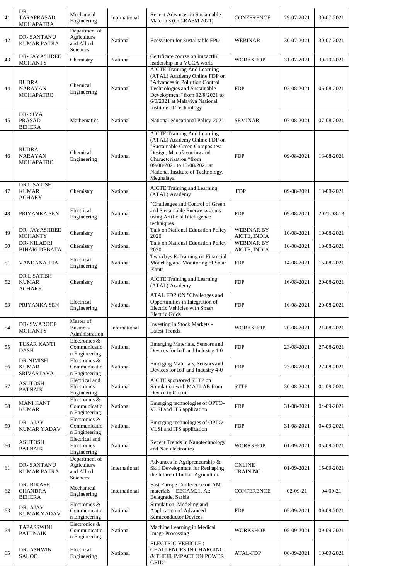| 41 | DR-<br>TARAPRASAD<br>MOHAPATRA                     | Mechanical<br>Engineering                              | International | Recent Advances in Sustainable<br>Materials (GC-RASM 2021)                                                                                                                                                                                   | <b>CONFERENCE</b>                 | 29-07-2021 | 30-07-2021 |
|----|----------------------------------------------------|--------------------------------------------------------|---------------|----------------------------------------------------------------------------------------------------------------------------------------------------------------------------------------------------------------------------------------------|-----------------------------------|------------|------------|
| 42 | DR-SANTANU<br>KUMAR PATRA                          | Department of<br>Agriculture<br>and Allied<br>Sciences | National      | Ecosystem for Sustainable FPO                                                                                                                                                                                                                | WEBINAR                           | 30-07-2021 | 30-07-2021 |
| 43 | DR-JAYASHREE<br><b>MOHANTY</b>                     | Chemistry                                              | National      | Certificate course on Impactful<br>leadership in a VUCA world                                                                                                                                                                                | <b>WORKSHOP</b>                   | 31-07-2021 | 30-10-2021 |
| 44 | <b>RUDRA</b><br><b>NARAYAN</b><br>MOHAPATRO        | Chemical<br>Engineering                                | National      | <b>AICTE Training And Learning</b><br>(ATAL) Academy Online FDP on<br>"Advances in Pollution Control<br>Technologies and Sustainable<br>Development "from 02/8/2021 to<br>6/8/2021 at Malaviya National<br>Institute of Technology           | <b>FDP</b>                        | 02-08-2021 | 06-08-2021 |
| 45 | DR-SIVA<br><b>PRASAD</b><br><b>BEHERA</b>          | Mathematics                                            | National      | National educational Policy-2021                                                                                                                                                                                                             | <b>SEMINAR</b>                    | 07-08-2021 | 07-08-2021 |
| 46 | <b>RUDRA</b><br><b>NARAYAN</b><br><b>MOHAPATRO</b> | Chemical<br>Engineering                                | National      | <b>AICTE Training And Learning</b><br>(ATAL) Academy Online FDP on<br>"Sustainable Green Composites:<br>Design, Manufacturing and<br>Characterization "from<br>09/08/2021 to 13/08/2021 at<br>National Institute of Technology,<br>Meghalaya | <b>FDP</b>                        | 09-08-2021 | 13-08-2021 |
| 47 | DR L SATISH<br><b>KUMAR</b><br><b>ACHARY</b>       | Chemistry                                              | National      | <b>AICTE Training and Learning</b><br>(ATAL) Academy                                                                                                                                                                                         | <b>FDP</b>                        | 09-08-2021 | 13-08-2021 |
| 48 | PRIYANKA SEN                                       | Electrical<br>Engineering                              | National      | "Challenges and Control of Green<br>and Sustainable Energy systems<br>using Artificial Intelligence<br>techniques                                                                                                                            | <b>FDP</b>                        | 09-08-2021 | 2021-08-13 |
| 49 | DR- JAYASHREE<br><b>MOHANTY</b>                    | Chemistry                                              | National      | Talk on National Education Policy<br>2020                                                                                                                                                                                                    | <b>WEBINAR BY</b><br>AICTE, INDIA | 10-08-2021 | 10-08-2021 |
| 50 | DR-NILADRI<br><b>BIHARI DEBATA</b>                 | Chemistry                                              | National      | Talk on National Education Policy<br>2020                                                                                                                                                                                                    | <b>WEBINAR BY</b><br>AICTE, INDIA | 10-08-2021 | 10-08-2021 |
| 51 | VANDANA JHA                                        | Electrical<br>Engineering                              | National      | Two-days E-Training on Financial<br>Modeling and Monitoring of Solar<br>Plants                                                                                                                                                               | <b>FDP</b>                        | 14-08-2021 | 15-08-2021 |
| 52 | DR L SATISH<br><b>KUMAR</b><br><b>ACHARY</b>       | Chemistry                                              | National      | <b>AICTE Training and Learning</b><br>(ATAL) Academy                                                                                                                                                                                         | <b>FDP</b>                        | 16-08-2021 | 20-08-2021 |
| 53 | PRIYANKA SEN                                       | Electrical<br>Engineering                              | National      | ATAL FDP ON "Challenges and<br>Opportunities in Integration of<br>Electric Vehicles with Smart<br>Electric Grids                                                                                                                             | <b>FDP</b>                        | 16-08-2021 | 20-08-2021 |
| 54 | <b>DR-SWAROOP</b><br><b>MOHANTY</b>                | Master of<br><b>Business</b><br>Administration         | International | Investing in Stock Markets -<br><b>Latest Trends</b>                                                                                                                                                                                         | <b>WORKSHOP</b>                   | 20-08-2021 | 21-08-2021 |
| 55 | TUSAR KANTI<br><b>DASH</b>                         | Electronics &<br>Communicatio<br>n Engineering         | National      | Emerging Materials, Sensors and<br>Devices for IoT and Industry 4-0                                                                                                                                                                          | <b>FDP</b>                        | 23-08-2021 | 27-08-2021 |
| 56 | DR-NIMISH<br><b>KUMAR</b><br><b>SRIVASTAVA</b>     | Electronics &<br>Communicatio<br>n Engineering         | National      | Emerging Materials, Sensors and<br>Devices for IoT and Industry 4-0                                                                                                                                                                          | <b>FDP</b>                        | 23-08-2021 | 27-08-2021 |
| 57 | <b>ASUTOSH</b><br><b>PATNAIK</b>                   | Electrical and<br>Electronics<br>Engineering           | National      | AICTE sponsored STTP on<br>Simulation with MATLAB from<br>Device to Circuit                                                                                                                                                                  | <b>STTP</b>                       | 30-08-2021 | 04-09-2021 |
| 58 | <b>MANI KANT</b><br><b>KUMAR</b>                   | Electronics &<br>Communicatio<br>n Engineering         | National      | Emerging technologies of OPTO-<br>VLSI and ITS application                                                                                                                                                                                   | <b>FDP</b>                        | 31-08-2021 | 04-09-2021 |
| 59 | DR-AJAY<br><b>KUMAR YADAV</b>                      | Electronics &<br>Communicatio<br>n Engineering         | National      | Emerging technologies of OPTO-<br>VLSI and ITS application                                                                                                                                                                                   | <b>FDP</b>                        | 31-08-2021 | 04-09-2021 |
| 60 | <b>ASUTOSH</b><br><b>PATNAIK</b>                   | Electrical and<br>Electronics<br>Engineering           | National      | Recent Trends in Nanotechnology<br>and Nan electronics                                                                                                                                                                                       | <b>WORKSHOP</b>                   | 01-09-2021 | 05-09-2021 |
| 61 | DR-SANTANU<br><b>KUMAR PATRA</b>                   | Department of<br>Agriculture<br>and Allied<br>Sciences | International | Advances in Agripreneurship &<br>Skill Development for Reshaping<br>the future of Indian Agriculture                                                                                                                                         | <b>ONLINE</b><br>TRAINING         | 01-09-2021 | 15-09-2021 |
| 62 | DR-BIKASH<br><b>CHANDRA</b><br><b>BEHERA</b>       | Mechanical<br>Engineering                              | International | East Europe Conference on AM<br>materials - EECAM21, At:<br>Belagrade, Serbia                                                                                                                                                                | <b>CONFERENCE</b>                 | 02-09-21   | 04-09-21   |
| 63 | DR-AJAY<br><b>KUMAR YADAV</b>                      | Electronics &<br>Communicatio<br>n Engineering         | National      | Simulation, Modeling and<br>Application of Advanced<br>Semiconductor Devices                                                                                                                                                                 | <b>FDP</b>                        | 05-09-2021 | 09-09-2021 |
| 64 | TAPASSWINI<br><b>PATTNAIK</b>                      | Electronics &<br>Communicatio<br>n Engineering         | National      | Machine Learning in Medical<br><b>Image Processing</b>                                                                                                                                                                                       | <b>WORKSHOP</b>                   | 05-09-2021 | 09-09-2021 |
| 65 | DR-ASHWIN<br><b>SAHOO</b>                          | Electrical<br>Engineering                              | National      | <b>ELECTRIC VEHICLE:</b><br><b>CHALLENGES IN CHARGING</b><br>& THEIR IMPACT ON POWER<br>GRID"                                                                                                                                                | <b>ATAL-FDP</b>                   | 06-09-2021 | 10-09-2021 |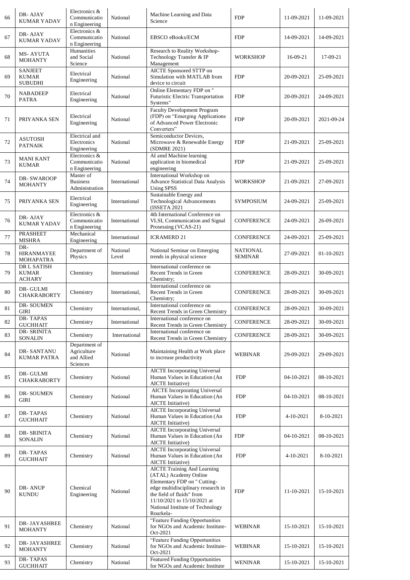| 66 | DR-AJAY<br><b>KUMAR YADAV</b>                    | Electronics &<br>Communicatio<br>n Engineering         | National          | Machine Learning and Data<br>Science                                                                                                                                                                                                           | <b>FDP</b>          | 11-09-2021 | 11-09-2021 |
|----|--------------------------------------------------|--------------------------------------------------------|-------------------|------------------------------------------------------------------------------------------------------------------------------------------------------------------------------------------------------------------------------------------------|---------------------|------------|------------|
| 67 | DR-AJAY<br><b>KUMAR YADAV</b>                    | Electronics &<br>Communicatio<br>n Engineering         | National          | <b>EBSCO</b> eBooks/ECM                                                                                                                                                                                                                        | <b>FDP</b>          | 14-09-2021 | 14-09-2021 |
| 68 | MS- AYUTA<br><b>MOHANTY</b>                      | Humanities<br>and Social<br>Science                    | National          | Research to Reality Workshop-<br>Technology Transfer & IP<br>Management                                                                                                                                                                        | <b>WORKSHOP</b>     | 16-09-21   | 17-09-21   |
| 69 | <b>SANJEET</b><br><b>KUMAR</b><br><b>SUBUDHI</b> | Electrical<br>Engineering                              | National          | AICTE Sponsored STTP on<br>Simulation with MATLAB from<br>device to circuit                                                                                                                                                                    | <b>FDP</b>          | 20-09-2021 | 25-09-2021 |
| 70 | <b>NABADEEP</b><br><b>PATRA</b>                  | Electrical<br>Engineering                              | National          | Online Elementary FDP on "<br>Futuristic Electric Transportation<br>Systems"                                                                                                                                                                   | <b>FDP</b>          | 20-09-2021 | 24-09-2021 |
| 71 | PRIYANKA SEN                                     | Electrical<br>Engineering                              | National          | <b>Faculty Development Program</b><br>(FDP) on "Emerging Applications<br>of Advanced Power Electronic<br>Converters"                                                                                                                           | <b>FDP</b>          | 20-09-2021 | 2021-09-24 |
| 72 | ASUTOSH<br><b>PATNAIK</b>                        | Electrical and<br>Electronics<br>Engineering           | National          | Semiconductor Devices,<br>Microwave & Renewable Energy<br>(SDMRE 2021)                                                                                                                                                                         | <b>FDP</b>          | 21-09-2021 | 25-09-2021 |
| 73 | MANI KANT<br><b>KUMAR</b>                        | Electronics &<br>Communicatio<br>n Engineering         | National          | AI amd Machine learning<br>application in biomedical<br>engineering                                                                                                                                                                            | <b>FDP</b>          | 21-09-2021 | 25-09-2021 |
| 74 | DR-SWAROOP<br><b>MOHANTY</b>                     | Master of<br><b>Business</b><br>Administration         | International     | International Workshop on<br><b>Advance Statistical Data Analysis</b><br><b>Using SPSS</b>                                                                                                                                                     | WORKSHOP            | 21-09-2021 | 27-09-2021 |
| 75 | PRIYANKA SEN                                     | Electrical<br>Engineering                              | International     | Sustainable Energy and<br><b>Technological Advancements</b><br>(ISSETA 2021                                                                                                                                                                    | <b>SYMPOSIUM</b>    | 24-09-2021 | 25-09-2021 |
| 76 | DR-AJAY<br><b>KUMAR YADAV</b>                    | Electronics &<br>Communicatio<br>n Engineering         | International     | 4th International Conference on<br>VLSI, Communication and Signal<br>Prosessing (VCAS-21)                                                                                                                                                      | <b>CONFERENCE</b>   | 24-09-2021 | 26-09-2021 |
| 77 | <b>PRASHEET</b><br><b>MISHRA</b>                 | Mechanical<br>Engineering                              | International     | <b>ICRAMERD 21</b>                                                                                                                                                                                                                             | <b>CONFERENCE</b>   | 24-09-2021 | 25-09-2021 |
| 78 | DR-<br><b>HIRANMAYEE</b><br>MOHAPATRA            | Department of<br>Physics                               | National<br>Level | National Seminar on Emerging<br>trends in physical science                                                                                                                                                                                     | NATIONAL<br>SEMINAR | 27-09-2021 | 01-10-2021 |
| 79 | DR L SATISH<br><b>KUMAR</b><br>ACHARY            | Chemistry                                              | International     | International conference on<br>Recent Trends in Green<br>Chemistry;                                                                                                                                                                            | <b>CONFERENCE</b>   | 28-09-2021 | 30-09-2021 |
| 80 | DR-GULMI<br><b>CHAKRABORTY</b>                   | Chemistry                                              | International,    | International conference on<br>Recent Trends in Green<br>Chemistry;                                                                                                                                                                            | <b>CONFERENCE</b>   | 28-09-2021 | 30-09-2021 |
| 81 | DR-SOUMEN<br>GIRI                                | Chemistry                                              | International,    | International conference on<br>Recent Trends in Green Chemistry                                                                                                                                                                                | CONFERENCE          | 28-09-2021 | 30-09-2021 |
| 82 | DR-TAPAS<br><b>GUCHHAIT</b>                      | Chemistry                                              | International     | International conference on<br>Recent Trends in Green Chemistry                                                                                                                                                                                | <b>CONFERENCE</b>   | 28-09-2021 | 30-09-2021 |
| 83 | DR- SRINITA<br><b>SONALIN</b>                    | Chemistry                                              | International     | International conference on<br>Recent Trends in Green Chemistry                                                                                                                                                                                | <b>CONFERENCE</b>   | 28-09-2021 | 30-09-2021 |
| 84 | DR-SANTANU<br><b>KUMAR PATRA</b>                 | Department of<br>Agriculture<br>and Allied<br>Sciences | National          | Maintaining Health at Work place<br>to increase productivity                                                                                                                                                                                   | WEBINAR             | 29-09-2021 | 29-09-2021 |
| 85 | DR-GULMI<br><b>CHAKRABORTY</b>                   | Chemistry                                              | National          | <b>AICTE</b> Incorporating Universal<br>Human Values in Education (An<br><b>AICTE</b> Initiative)                                                                                                                                              | <b>FDP</b>          | 04-10-2021 | 08-10-2021 |
| 86 | DR-SOUMEN<br>GIRI                                | Chemistry                                              | National          | <b>AICTE</b> Incorporating Universal<br>Human Values in Education (An<br><b>AICTE</b> Initiative)                                                                                                                                              | <b>FDP</b>          | 04-10-2021 | 08-10-2021 |
| 87 | DR-TAPAS<br><b>GUCHHAIT</b>                      | Chemistry                                              | National          | <b>AICTE</b> Incorporating Universal<br>Human Values in Education (An<br><b>AICTE</b> Initiative)                                                                                                                                              | <b>FDP</b>          | 4-10-2021  | 8-10-2021  |
| 88 | DR-SRINITA<br>SONALIN                            | Chemistry                                              | National          | <b>AICTE</b> Incorporating Universal<br>Human Values in Education (An<br><b>AICTE</b> Initiative)                                                                                                                                              | <b>FDP</b>          | 04-10-2021 | 08-10-2021 |
| 89 | DR-TAPAS<br><b>GUCHHAIT</b>                      | Chemistry                                              | National          | <b>AICTE</b> Incorporating Universal<br>Human Values in Education (An<br><b>AICTE</b> Initiative)                                                                                                                                              | <b>FDP</b>          | 4-10-2021  | 8-10-2021  |
| 90 | DR-ANUP<br><b>KUNDU</b>                          | Chemical<br>Engineering                                | National          | <b>AICTE Training And Learning</b><br>(ATAL) Academy Online<br>Elementary FDP on " Cutting-<br>edge multidisciplinary research in<br>the field of fluids" from<br>11/10/2021 to 15/10/2021 at<br>National Institute of Technology<br>Rourkela- | <b>FDP</b>          | 11-10-2021 | 15-10-2021 |
| 91 | DR-JAYASHREE<br><b>MOHANTY</b>                   | Chemistry                                              | National          | "Feature Funding Opportunities<br>for NGOs and Academic Institute-<br>Oct-2021                                                                                                                                                                 | WEBINAR             | 15-10-2021 | 15-10-2021 |
| 92 | DR-JAYASHREE<br><b>MOHANTY</b>                   | Chemistry                                              | National          | "Feature Funding Opportunities<br>for NGOs and Academic Institute-<br>Oct-2021                                                                                                                                                                 | WEBINAR             | 15-10-2021 | 15-10-2021 |
| 93 | DR-TAPAS<br><b>GUCHHAIT</b>                      | Chemistry                                              | National          | <b>Featured Funding Opportunities</b><br>for NGOs and Academic Institute                                                                                                                                                                       | WENINAR             | 15-10-2021 | 15-10-2021 |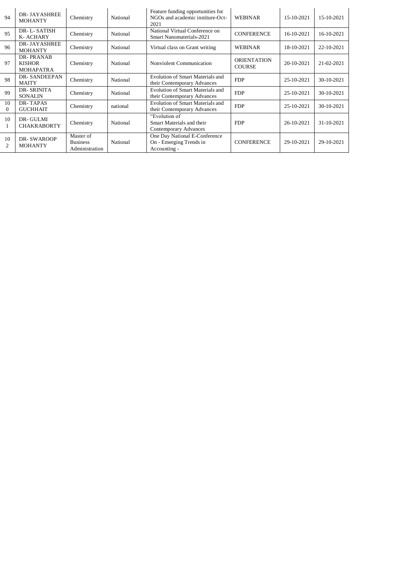| 94                   | <b>DR-JAYASHREE</b><br><b>MOHANTY</b>                 | Chemistry                                      | National | Feature funding opportunities for<br>NGOs and academic institure-Oct-<br>2021 | <b>WEBINAR</b>                      | 15-10-2021 | 15-10-2021 |
|----------------------|-------------------------------------------------------|------------------------------------------------|----------|-------------------------------------------------------------------------------|-------------------------------------|------------|------------|
| 95                   | DR-L-SATISH<br>K-ACHARY                               | Chemistry                                      | National | National Virtual Conference on<br><b>Smart Nanomaterials-2021</b>             | <b>CONFERENCE</b>                   | 16-10-2021 | 16-10-2021 |
| 96                   | <b>DR-JAYASHREE</b><br><b>MOHANTY</b>                 | Chemistry                                      | National | Virtual class on Grant writing                                                | WEBINAR                             | 18-10-2021 | 22-10-2021 |
| 97                   | <b>DR-PRANAB</b><br><b>KISHOR</b><br><b>MOHAPATRA</b> | Chemistry                                      | National | <b>Nonviolent Communication</b>                                               | <b>ORIENTATION</b><br><b>COURSE</b> | 20-10-2021 | 21-02-2021 |
| 98                   | <b>DR-SANDEEPAN</b><br><b>MAITY</b>                   | Chemistry                                      | National | Evolution of Smart Materials and<br>their Contemporary Advances               | <b>FDP</b>                          | 25-10-2021 | 30-10-2021 |
| 99                   | <b>DR-SRINITA</b><br><b>SONALIN</b>                   | Chemistry                                      | National | Evolution of Smart Materials and<br>their Contemporary Advances               | <b>FDP</b>                          | 25-10-2021 | 30-10-2021 |
| 10<br>$\Omega$       | DR-TAPAS<br><b>GUCHHAIT</b>                           | Chemistry                                      | national | Evolution of Smart Materials and<br>their Contemporary Advances               | <b>FDP</b>                          | 25-10-2021 | 30-10-2021 |
| 10<br>1              | DR-GULMI<br><b>CHAKRABORTY</b>                        | Chemistry                                      | National | "Evolution of<br>Smart Materials and their<br><b>Contemporary Advances</b>    | <b>FDP</b>                          | 26-10-2021 | 31-10-2021 |
| 10<br>$\overline{c}$ | <b>DR-SWAROOP</b><br><b>MOHANTY</b>                   | Master of<br><b>Business</b><br>Administration | National | One Day National E-Conference<br>On - Emerging Trends in<br>Accounting -      | <b>CONFERENCE</b>                   | 29-10-2021 | 29-10-2021 |